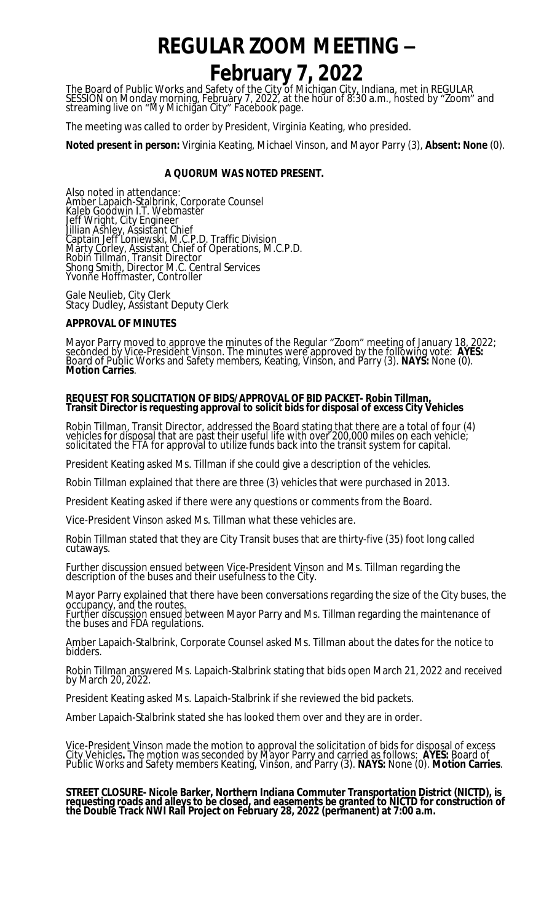# **REGULAR ZOOM MEETING –**

# **February 7, 2022**

The Board of Public Works and Safety of the City of Michigan City, Indiana, met in REGULAR SESSION on Monday morning, February 7, 2022, at the hour of 8:30 a.m., hosted by "Zoom" and streaming live on "My Michigan City" Facebook page.

The meeting was called to order by President, Virginia Keating, who presided.

**Noted present in person:** Virginia Keating, Michael Vinson, and Mayor Parry (3), **Absent: None** (0).

# **A QUORUM WAS NOTED PRESENT.**

Also noted in attendance: Amber Lapaich-Stalbrink, Corporate Counsel Kaleb Goodwin I.T. Webmaster Jeff Wright, City Engineer Jillian Ashley, Assistant Chief Captain Jeff Loniewski, M.C.P.D. Traffic Division Marty Corley, Assistant Chief of Operations, M.C.P.D. Robin Tillman, Transit Director Shong Smith, Director M.C. Central Services Yvonne Hoffmaster, Controller

Gale Neulieb, City Clerk Stacy Dudley, Assistant Deputy Clerk

# **APPROVAL OF MINUTES**

Mayor Parry moved to approve the minutes of the Regular "Zoom" meeting of January 18, 2022; seconded by Vice-President Vinson. The minutes were approved by the following vote: **AYES:**  Board of Public Works and Safety members, Keating, Vinson, and Parry (3). **NAYS:** None (0). **Motion Carries**.

#### **REQUEST FOR SOLICITATION OF BIDS/APPROVAL OF BID PACKET- Robin Tillman, Transit Director is requesting approval to solicit bids for disposal of excess City Vehicles**

Robin Tillman, Transit Director, addressed the Board stating that there are a total of four (4) vehicles for disposal that are past their useful life with over 200,000 miles on each vehicle; solicitated the FTA for approval to utilize funds back into the transit system for capital.

President Keating asked Ms. Tillman if she could give a description of the vehicles.

Robin Tillman explained that there are three (3) vehicles that were purchased in 2013.

President Keating asked if there were any questions or comments from the Board.

Vice-President Vinson asked Ms. Tillman what these vehicles are.

Robin Tillman stated that they are City Transit buses that are thirty-five (35) foot long called cutaways.

Further discussion ensued between Vice-President Vinson and Ms. Tillman regarding the description of the buses and their usefulness to the City.

Mayor Parry explained that there have been conversations regarding the size of the City buses, the occupancy, and the routes. Further discussion ensued between Mayor Parry and Ms. Tillman regarding the maintenance of the buses and FDA regulations.

Amber Lapaich-Stalbrink, Corporate Counsel asked Ms. Tillman about the dates for the notice to bidders.

Robin Tillman answered Ms. Lapaich-Stalbrink stating that bids open March 21, 2022 and received by March 20, 2022.

President Keating asked Ms. Lapaich-Stalbrink if she reviewed the bid packets.

Amber Lapaich-Stalbrink stated she has looked them over and they are in order.

Vice-President Vinson made the motion to approval the solicitation of bids for disposal of excess City Vehicles**.** The motion was seconded by Mayor Parry and carried as follows: **AYES:** Board of Public Works and Safety members Keating, Vinson, and Parry (3). **NAYS:** None (0). **Motion Carries**.

#### **STREET CLOSURE- Nicole Barker, Northern Indiana Commuter Transportation District (NICTD), is requesting roads and alleys to be closed, and easements be granted to NICTD for construction of the Double Track NWI Rail Project on February 28, 2022 (permanent) at 7:00 a.m.**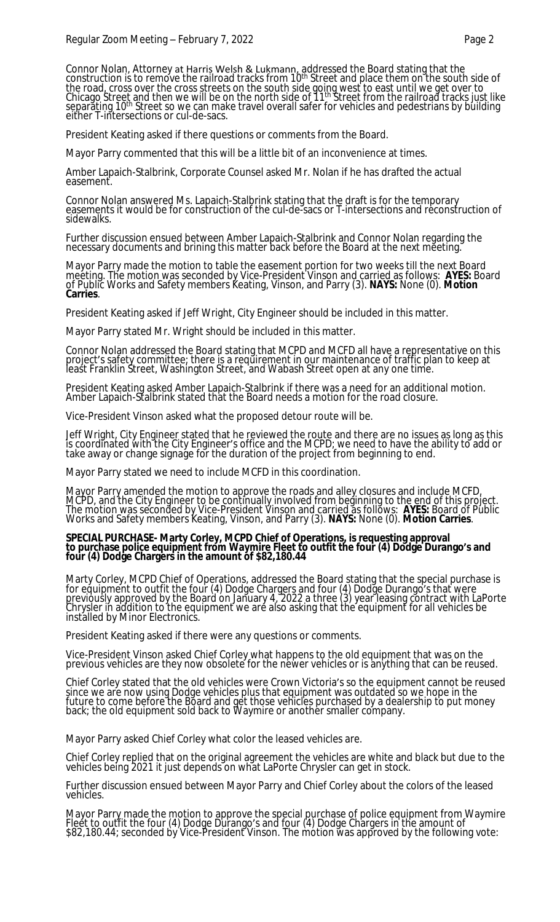Connor Nolan, Attorney at Harris Welsh & Lukmann, addressed the Board stating that the construction is to remove the railroad tracks from 10th Street and place them on the south side of the road, cross over the cross streets on the south side going west to east until we get over to Chicago Street and then we will be on the north side of 11<sup>th</sup> Street from the railroad tracks just like separating 10<sup>th</sup> Street so we can make travel overall safer for vehicles and pedestrians by building either T-intersections or cul-de-sacs.

President Keating asked if there questions or comments from the Board.

Mayor Parry commented that this will be a little bit of an inconvenience at times.

Amber Lapaich-Stalbrink, Corporate Counsel asked Mr. Nolan if he has drafted the actual easement.

Connor Nolan answered Ms. Lapaich-Stalbrink stating that the draft is for the temporary easements it would be for construction of the cul-de-sacs or T-intersections and reconstruction of sidewalks.

Further discussion ensued between Amber Lapaich-Stalbrink and Connor Nolan regarding the necessary documents and brining this matter back before the Board at the next meeting.

Mayor Parry made the motion to table the easement portion for two weeks till the next Board meeting. The motion was seconded by Vice-President Vinson and carried as follows: **AYES:** Board of Public Works and Safety members Keating, Vinson, and Parry (3). **NAYS:** None (0). **Motion Carries**.

President Keating asked if Jeff Wright, City Engineer should be included in this matter.

Mayor Parry stated Mr. Wright should be included in this matter.

Connor Nolan addressed the Board stating that MCPD and MCFD all have a representative on this project's safety committee; there is a requirement in our maintenance of traffic plan to keep at least Franklin Street, Washington Street, and Wabash Street open at any one time.

President Keating asked Amber Lapaich-Stalbrink if there was a need for an additional motion. Amber Lapaich-Stalbrink stated that the Board needs a motion for the road closure.

Vice-President Vinson asked what the proposed detour route will be.

Jeff Wright, City Engineer stated that he reviewed the route and there are no issues as long as this is coordinated with the City Engineer's office and the MCPD; we need to have the ability to add or take away or change signağe for the duration of the project from beginning to end.

Mayor Parry stated we need to include MCFD in this coordination.

Mayor Parry amended the motion to approve the roads and alley closures and include MCFD, MCPD, and the City Engineer to be continually involved from beginning to the end of this project. The motion was seconded by Vice-President Vinson and carried as follows: **AYES:** Board of Public Works and Safety members Keating, Vinson, and Parry (3). **NAYS:** None (0). **Motion Carries**.

#### **SPECIAL PURCHASE- Marty Corley, MCPD Chief of Operations, is requesting approval to purchase police equipment from Waymire Fleet to outfit the four (4) Dodge Durango's and four (4) Dodge Chargers in the amount of \$82,180.44**

Marty Corley, MCPD Chief of Operations, addressed the Board stating that the special purchase is for equipment to outfit the four (4) Dodge Chargers and four (4) Dodge Durango's that were previously approved by the Board on January 4, 2022 a three (3) year leasing contract with LaPorte Chrysler in addition to the equipment we are also asking that the equipment for all vehicles be installed by Minor Electronics.

President Keating asked if there were any questions or comments.

Vice-President Vinson asked Chief Corley what happens to the old equipment that was on the previous vehicles are they now obsolete for the newer vehicles or is anything that can be reused.

Chief Corley stated that the old vehicles were Crown Victoria's so the equipment cannot be reused since we are now using Dodge vehicles plus that equipment was outdated so we hope in the future to come before the Board and get those vehicles purchased by a dealership to put money back; the old equipment sold back to Waymire or another smaller company.

Mayor Parry asked Chief Corley what color the leased vehicles are.

Chief Corley replied that on the original agreement the vehicles are white and black but due to the vehicles being 2021 it just depends on what LaPorte Chrysler can get in stock.

Further discussion ensued between Mayor Parry and Chief Corley about the colors of the leased vehicles.

Mayor Parry made the motion to approve the special purchase of police equipment from Waymire Fleet to outfit the four (4) Dodge Durango's and four (4) Dodge Chargers in the amount of \$82,180.44; seconded by Vice-President Vinson. The motion was approved by the following vote: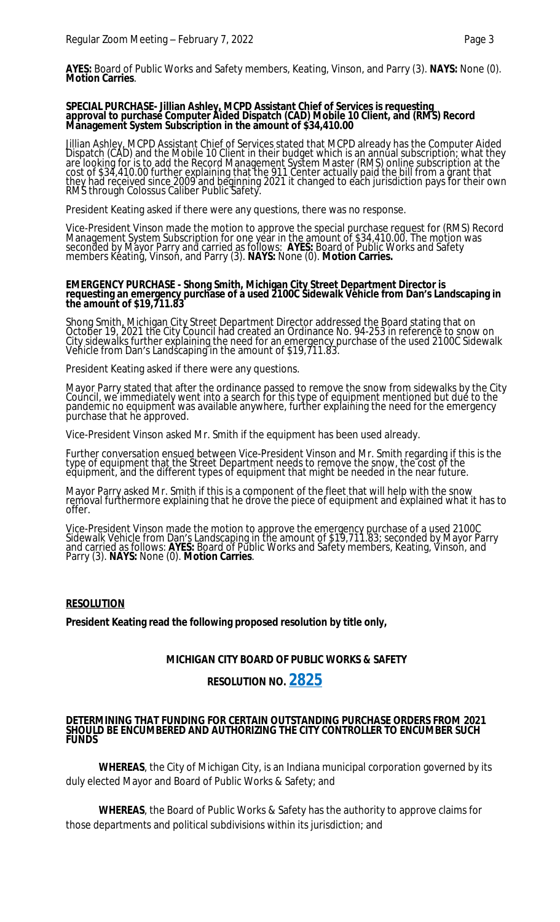**AYES:** Board of Public Works and Safety members, Keating, Vinson, and Parry (3). **NAYS:** None (0). **Motion Carries**.

#### **SPECIAL PURCHASE- Jillian Ashley, MCPD Assistant Chief of Services is requesting approval to purchase Computer Aided Dispatch (CAD) Mobile 10 Client, and (RMS) Record Management System Subscription in the amount of \$34,410.00**

Jillian Ashley, MCPD Assistant Chief of Services stated that MCPD already has the Computer Aided Dispatch (CAD) and the Mobile 10 Client in their budget which is an annual subscription; what they are looking for is to add the Record Management System Master (RMS) online subscription at the cost of \$34,410.00 further explaining that the 911 Center actually paid the bill from a grant that they had received since 2009 and beginning 2021 it changed to each jurisdiction pays for their own RMS through Colossus Caliber Public Safety.

President Keating asked if there were any questions, there was no response.

Vice-President Vinson made the motion to approve the special purchase request for (RMS) Record Management System Subscription for one year in the amount of \$34,410.00. The motion was seconded by Mayor Parry and carried as follows: **AYES:** Board of Public Works and Safety members Keating, Vinson, and Parry (3). **NAYS:** None (0). **Motion Carries.**

#### **EMERGENCY PURCHASE - Shong Smith, Michigan City Street Department Director is requesting an emergency purchase of a used 2100C Sidewalk Vehicle from Dan's Landscaping in the amount of \$19,711.83**

Shong Smith, Michigan City Street Department Director addressed the Board stating that on October 19, 2021 the City Council had created an Ordinance No. 94-253 in reference to snow on City sidewalks further explaining the need for an emergency purchase of the used 2100C Sidewalk Vehicle from Dan's Landscaping in the amount of \$19,711.83.

President Keating asked if there were any questions.

Mayor Parry stated that after the ordinance passed to remove the snow from sidewalks by the City Council, we immediately went into a search for this type of equipment mentioned but due to the pandemic no equipment was available anywhere, further explaining the need for the emergency purchase that he approved.

Vice-President Vinson asked Mr. Smith if the equipment has been used already.

Further conversation ensued between Vice-President Vinson and Mr. Smith regarding if this is the type of equipment that the Street Department needs to remove the snow, the cost of the equipment, and the different types of equipment that might be needed in the near future.

Mayor Parry asked Mr. Smith if this is a component of the fleet that will help with the snow removal furthermore explaining that he drove the piece of equipment and explained what it has to offer.

Vice-President Vinson made the motion to approve the emergency purchase of a used 2100C Sidewalk Vehicle from Dan's Landscaping in the amount of \$19,711.83; seconded by Mayor Parry and carried as follows: **AYES:** Board of Public Works and Safety members, Keating, Vinson, and Parry (3). **NAYS:** None (0). **Motion Carries**.

#### **RESOLUTION**

**President Keating read the following proposed resolution by title only,**

# **MICHIGAN CITY BOARD OF PUBLIC WORKS & SAFETY**

# **RESOLUTION NO. 2825**

#### **DETERMINING THAT FUNDING FOR CERTAIN OUTSTANDING PURCHASE ORDERS FROM 2021 SHOULD BE ENCUMBERED AND AUTHORIZING THE CITY CONTROLLER TO ENCUMBER SUCH FUNDS**

**WHEREAS**, the City of Michigan City, is an Indiana municipal corporation governed by its duly elected Mayor and Board of Public Works & Safety; and

**WHEREAS**, the Board of Public Works & Safety has the authority to approve claims for those departments and political subdivisions within its jurisdiction; and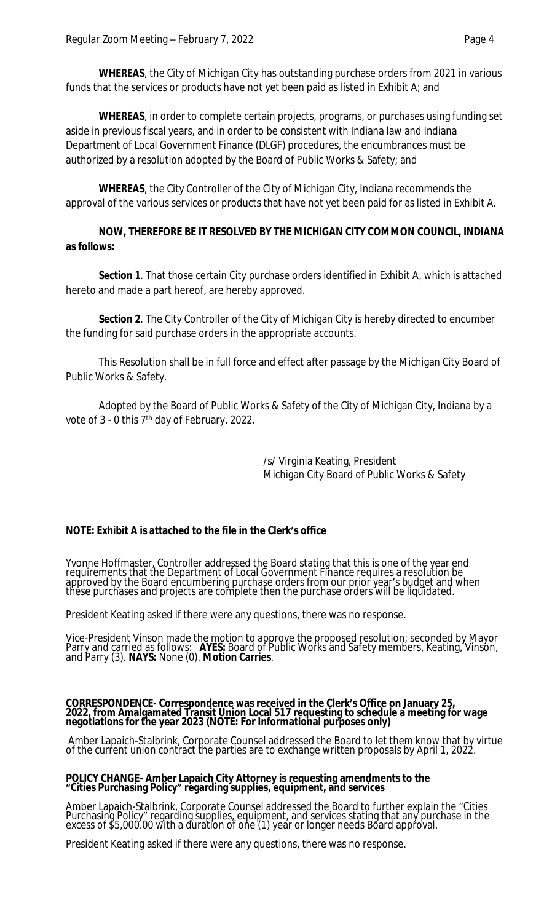**WHEREAS**, the City of Michigan City has outstanding purchase orders from 2021 in various funds that the services or products have not yet been paid as listed in Exhibit A; and

**WHEREAS**, in order to complete certain projects, programs, or purchases using funding set aside in previous fiscal years, and in order to be consistent with Indiana law and Indiana Department of Local Government Finance (DLGF) procedures, the encumbrances must be authorized by a resolution adopted by the Board of Public Works & Safety; and

**WHEREAS**, the City Controller of the City of Michigan City, Indiana recommends the approval of the various services or products that have not yet been paid for as listed in Exhibit A.

# **NOW, THEREFORE BE IT RESOLVED BY THE MICHIGAN CITY COMMON COUNCIL, INDIANA as follows:**

**Section 1**. That those certain City purchase orders identified in Exhibit A, which is attached hereto and made a part hereof, are hereby approved.

**Section 2**. The City Controller of the City of Michigan City is hereby directed to encumber the funding for said purchase orders in the appropriate accounts.

This Resolution shall be in full force and effect after passage by the Michigan City Board of Public Works & Safety.

Adopted by the Board of Public Works & Safety of the City of Michigan City, Indiana by a vote of 3 - 0 this 7<sup>th</sup> day of February, 2022.

> /s/ Virginia Keating, President Michigan City Board of Public Works & Safety

# **NOTE: Exhibit A is attached to the file in the Clerk's office**

Yvonne Hoffmaster, Controller addressed the Board stating that this is one of the year end requirements that the Department of Local Government Finance requires a resolution be approved by the Board encumbering purchase orders from our prior year's budget and when these purchases and projects are complete then the purchase orders will be liquidated.

President Keating asked if there were any questions, there was no response.

Vice-President Vinson made the motion to approve the proposed resolution; seconded by Mayor Parry and carried as follows: **AYES:** Board of Public Works and Safety members, Keating, Vinson, and Parry (3). **NAYS:** None (0). **Motion Carries**.

#### **CORRESPONDENCE- Correspondence was received in the Clerk's Office on January 25, 2022, from Amalgamated Transit Union Local 517 requesting to schedule a meeting for wage negotiations for the year 2023 (NOTE: For Informational purposes only)**

Amber Lapaich-Stalbrink, Corporate Counsel addressed the Board to let them know that by virtue of the current union contract the parties are to exchange written proposals by April 1, 2022.

#### **POLICY CHANGE- Amber Lapaich City Attorney is requesting amendments to the "Cities Purchasing Policy" regarding supplies, equipment, and services**

Amber Lapaich-Stalbrink, Corporate Counsel addressed the Board to further explain the "Cities Purchasing Policy" regarding supplies, equipment, and services stating that any purchase in the excess of \$5,000.00 with a duration of one (1) year or longer needs Board approval.

President Keating asked if there were any questions, there was no response.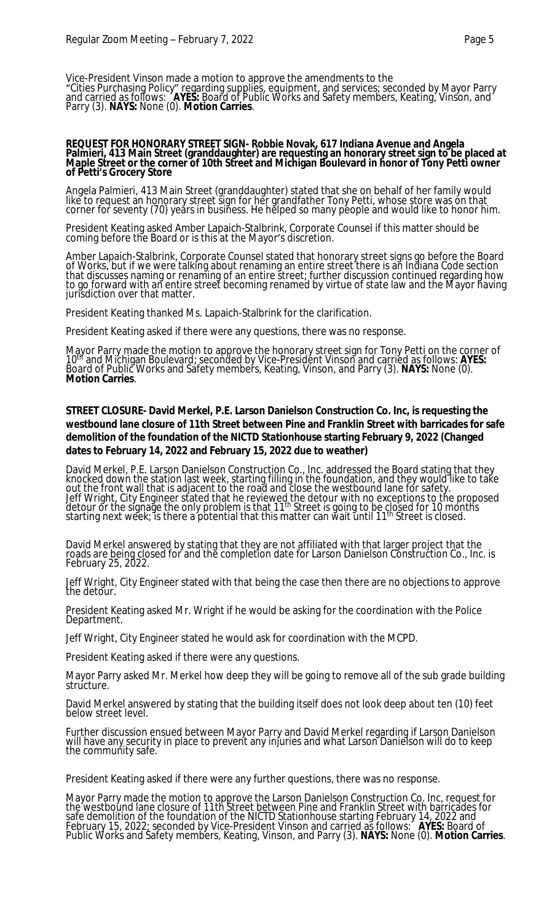Vice-President Vinson made a motion to approve the amendments to the

"Cities Purchasing Policy" regarding supplies, equipment, and services; seconded by Mayor Parry and carried as follows: **AYES:** Board of Public Works and Safety members, Keating, Vinson, and Parry (3). **NAYS:** None (0). **Motion Carries**.

#### **REQUEST FOR HONORARY STREET SIGN- Robbie Novak, 617 Indiana Avenue and Angela Palmieri, 413 Main Street (granddaughter) are requesting an honorary street sign to be placed at Maple Street or the corner of 10th Street and Michigan Boulevard in honor of Tony Petti owner of Petti's Grocery Store**

Angela Palmieri, 413 Main Street (granddaughter) stated that she on behalf of her family would like to request an honorary street sign for her grandfather Tony Petti, whose store was on that corner for seventy (70) yeárs in busiñess. He hĕlped so many péople and would like to honor him.

President Keating asked Amber Lapaich-Stalbrink, Corporate Counsel if this matter should be coming before the Board or is this at the Mayor's discretion.

Amber Lapaich-Stalbrink, Corporate Counsel stated that honorary street signs go before the Board of Works, but if we were talking about renaming an entire street there is an Indiana Code section that discusses naming or renaming of an entire street; further discussion continued regarding how to go forward with an entire street becoming renamed by virtue of state law and the Mayor having jurisdiction over that matter.

President Keating thanked Ms. Lapaich-Stalbrink for the clarification.

President Keating asked if there were any questions, there was no response.

Mayor Parry made the motion to approve the honorary street sign for Tony Petti on the corner of 10th and Michigan Boulevard; seconded by Vice-President Vinson and carried as follows: **AYES:**  Board of Public Works and Safety members, Keating, Vinson, and Parry (3). **NAYS:** None (0). **Motion Carries**.

# **STREET CLOSURE- David Merkel, P.E. Larson Danielson Construction Co. Inc, is requesting the westbound lane closure of 11th Street between Pine and Franklin Street with barricades for safe demolition of the foundation of the NICTD Stationhouse starting February 9, 2022 (Changed dates to February 14, 2022 and February 15, 2022 due to weather)**

David Merkel, P.E. Larson Danielson Construction Co., Inc. addressed the Board stating that they knocked down the station last week, starting filling in the foundation, and they would like to take out the front wall that is adjacent to the road and close the westbound lane for safety. Jeff Wright, City Engineer stated that he reviewed the detour with no exceptions to the proposed detour or the signage the only problem is that 11<sup>th</sup> Street is going to be closed for 10 months starting next week; is there a potential that this matter can wait until 11th Street is closed.

David Merkel answered by stating that they are not affiliated with that larger project that the roads are being closed for and the completion date for Larson Danielson Construction Co., Inc. is February 25, 2022.

Jeff Wright, City Engineer stated with that being the case then there are no objections to approve the detour.

President Keating asked Mr. Wright if he would be asking for the coordination with the Police Department.

Jeff Wright, City Engineer stated he would ask for coordination with the MCPD.

President Keating asked if there were any questions.

Mayor Parry asked Mr. Merkel how deep they will be going to remove all of the sub grade building structure.

David Merkel answered by stating that the building itself does not look deep about ten (10) feet below street level.

Further discussion ensued between Mayor Parry and David Merkel regarding if Larson Danielson will have any security in place to prevent any injuries and what Larson Danielson will do to keep the communtty safe.

President Keating asked if there were any further questions, there was no response.

Mayor Parry made the motion to approve the Larson Danielson Construction Co. Inc, request for the westbound lane closure of 11th Street between Pine and Franklin Street with barricades for safe demolition of the foundation of the NICTD Stationhouse starting February 14, 2022 and February 15, 2022; seconded by Vice-President Vinson and carried as follows: **AYES:** Board of Public Works and Safety members, Keating, Vinson, and Parry (3). **NAYS:** None (0). **Motion Carries**.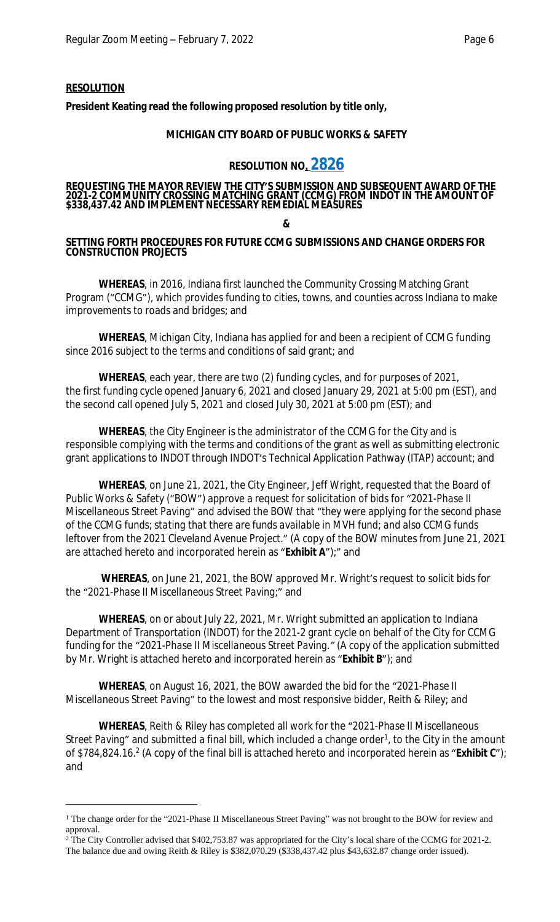# **RESOLUTION**

**President Keating read the following proposed resolution by title only,**

### **MICHIGAN CITY BOARD OF PUBLIC WORKS & SAFETY**

# **RESOLUTION NO. 2826**

#### **REQUESTING THE MAYOR REVIEW THE CITY'S SUBMISSION AND SUBSEQUENT AWARD OF THE 2021-2 COMMUNITY CROSSING MATCHING GRANT (CCMG) FROM INDOT IN THE AMOUNT OF \$338,437.42 AND IMPLEMENT NECESSARY REMEDIAL MEASURES**

**&**

### **SETTING FORTH PROCEDURES FOR FUTURE CCMG SUBMISSIONS AND CHANGE ORDERS FOR CONSTRUCTION PROJECTS**

**WHEREAS**, in 2016, Indiana first launched the Community Crossing Matching Grant Program ("CCMG"), which provides funding to cities, towns, and counties across Indiana to make improvements to roads and bridges; and

**WHEREAS**, Michigan City, Indiana has applied for and been a recipient of CCMG funding since 2016 subject to the terms and conditions of said grant; and

**WHEREAS**, each year, there are two (2) funding cycles, and for purposes of 2021, the first funding cycle opened January 6, 2021 and closed January 29, 2021 at 5:00 pm (EST), and the second call opened July 5, 2021 and closed July 30, 2021 at 5:00 pm (EST); and

**WHEREAS**, the City Engineer is the administrator of the CCMG for the City and is responsible complying with the terms and conditions of the grant as well as submitting electronic grant applications to INDOT through INDOT's Technical Application Pathway (ITAP) account; and

**WHEREAS**, on June 21, 2021, the City Engineer, Jeff Wright, requested that the Board of Public Works & Safety ("BOW") approve a request for solicitation of bids for "*2021-Phase II Miscellaneous Street Paving*" and advised the BOW that "*they were applying for the second phase of the CCMG funds; stating that there are funds available in MVH fund; and also CCMG funds leftover from the 2021 Cleveland Avenue Project.*" (A copy of the BOW minutes from June 21, 2021 are attached hereto and incorporated herein as "**Exhibit A**");" and

**WHEREAS**, on June 21, 2021, the BOW approved Mr. Wright's request to solicit bids for the "*2021-Phase II Miscellaneous Street Paving*;" and

**WHEREAS**, on or about July 22, 2021, Mr. Wright submitted an application to Indiana Department of Transportation (INDOT) for the 2021-2 grant cycle on behalf of the City for CCMG funding for the "*2021-Phase II Miscellaneous Street Paving."* (A copy of the application submitted by Mr. Wright is attached hereto and incorporated herein as "**Exhibit B**"); and

**WHEREAS**, on August 16, 2021, the BOW awarded the bid for the "*2021-Phase II Miscellaneous Street Paving*" to the lowest and most responsive bidder, Reith & Riley; and

**WHEREAS**, Reith & Riley has completed all work for the "*2021-Phase II Miscellaneous*  Street Paving" and submitted a final bill, which included a change order<sup>1</sup>, to the City in the amount of \$784,824.16.<sup>2</sup> (A copy of the final bill is attached hereto and incorporated herein as "Exhibit C"); and

<sup>&</sup>lt;sup>1</sup> The change order for the "2021-Phase II Miscellaneous Street Paving" was not brought to the BOW for review and approval.

<sup>&</sup>lt;sup>2</sup> The City Controller advised that \$402,753.87 was appropriated for the City's local share of the CCMG for 2021-2. The balance due and owing Reith & Riley is \$382,070.29 (\$338,437.42 plus \$43,632.87 change order issued).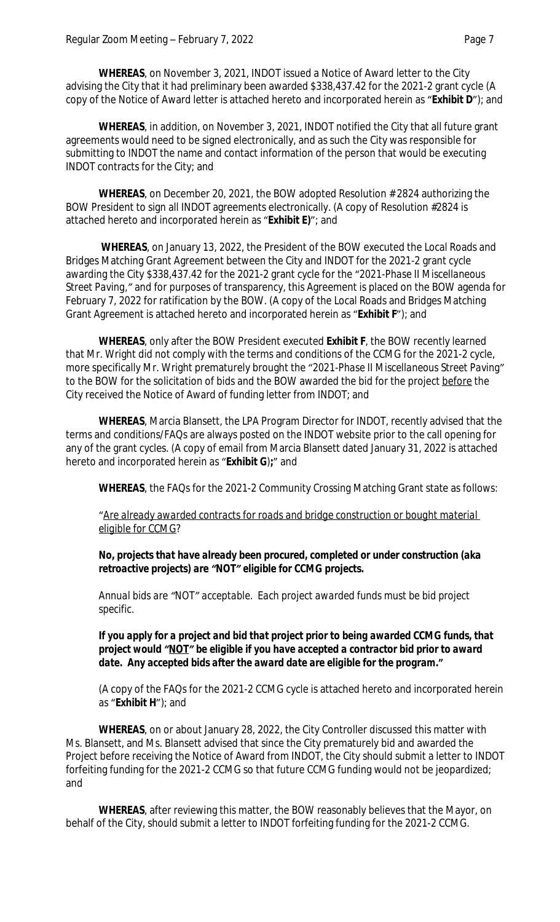**WHEREAS**, on November 3, 2021, INDOT issued a Notice of Award letter to the City advising the City that it had preliminary been awarded \$338,437.42 for the 2021-2 grant cycle (A copy of the Notice of Award letter is attached hereto and incorporated herein as "**Exhibit D**"); and

**WHEREAS**, in addition, on November 3, 2021, INDOT notified the City that all future grant agreements would need to be signed electronically, and as such the City was responsible for submitting to INDOT the name and contact information of the person that would be executing INDOT contracts for the City; and

**WHEREAS**, on December 20, 2021, the BOW adopted Resolution # 2824 authorizing the BOW President to sign all INDOT agreements electronically. (A copy of Resolution #2824 is attached hereto and incorporated herein as "**Exhibit E)**"; and

**WHEREAS**, on January 13, 2022, the President of the BOW executed the Local Roads and Bridges Matching Grant Agreement between the City and INDOT for the 2021-2 grant cycle awarding the City \$338,437.42 for the 2021-2 grant cycle for the "*2021-Phase II Miscellaneous Street Paving,"* and for purposes of transparency, this Agreement is placed on the BOW agenda for February 7, 2022 for ratification by the BOW. (A copy of the Local Roads and Bridges Matching Grant Agreement is attached hereto and incorporated herein as "**Exhibit F**"); and

**WHEREAS**, only after the BOW President executed **Exhibit F**, the BOW recently learned that Mr. Wright did not comply with the terms and conditions of the CCMG for the 2021-2 cycle, more specifically Mr. Wright prematurely brought the "*2021-Phase II Miscellaneous Street Paving*" to the BOW for the solicitation of bids and the BOW awarded the bid for the project before the City received the Notice of Award of funding letter from INDOT; and

**WHEREAS**, Marcia Blansett, the LPA Program Director for INDOT, recently advised that the terms and conditions/FAQs are always posted on the INDOT website prior to the call opening for any of the grant cycles. (A copy of email from Marcia Blansett dated January 31, 2022 is attached hereto and incorporated herein as "**Exhibit G**)**;**" and

**WHEREAS**, the FAQs for the 2021-2 Community Crossing Matching Grant state as follows:

# "*Are already awarded contracts for roads and bridge construction or bought material eligible for CCMG?*

*No, projects that have already been procured, completed or under construction (aka retroactive projects) are "NOT" eligible for CCMG projects.* 

*Annual bids are "NOT" acceptable. Each project awarded funds must be bid project specific.* 

# *If you apply for a project and bid that project prior to being awarded CCMG funds, that project would "NOT" be eligible if you have accepted a contractor bid prior to award date. Any accepted bids after the award date are eligible for the program***."**

(A copy of the FAQs for the 2021-2 CCMG cycle is attached hereto and incorporated herein as "**Exhibit H**"); and

**WHEREAS**, on or about January 28, 2022, the City Controller discussed this matter with Ms. Blansett, and Ms. Blansett advised that since the City prematurely bid and awarded the Project before receiving the Notice of Award from INDOT, the City should submit a letter to INDOT forfeiting funding for the 2021-2 CCMG so that future CCMG funding would not be jeopardized; and

**WHEREAS**, after reviewing this matter, the BOW reasonably believes that the Mayor, on behalf of the City, should submit a letter to INDOT forfeiting funding for the 2021-2 CCMG.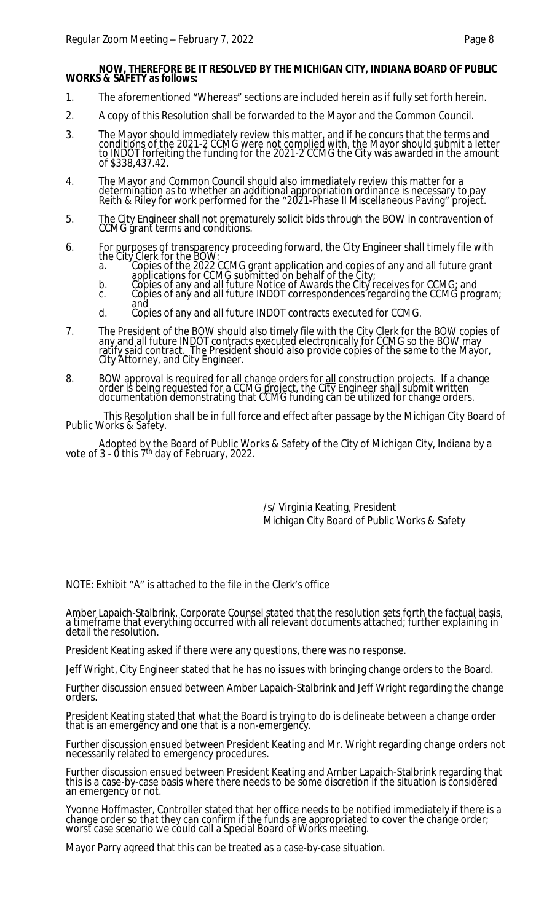### **NOW, THEREFORE BE IT RESOLVED BY THE MICHIGAN CITY, INDIANA BOARD OF PUBLIC WORKS & SAFETY as follows:**

- 1. The aforementioned "Whereas" sections are included herein as if fully set forth herein.
- 2. A copy of this Resolution shall be forwarded to the Mayor and the Common Council.
- 3. The Mayor should immediately review this matter, and if he concurs that the terms and conditions of the 2021-2 CCMG were not complied with, the Mayor should submit a letter to INDOT forfeiting the funding for the 2021-2 CCMG the City was awarded in the amount of \$338,437.42.
- 4. The Mayor and Common Council should also immediately review this matter for a determination as to whether an additional appropriation ordinance is necessary to pay Reith & Riley for work performed for the "2021-Phase II Miscellaneous Paving" project.
- 5. The City Engineer shall not prematurely solicit bids through the BOW in contravention of CCMG grant terms and conditions.
- 6. For purposes of transparency proceeding forward, the City Engineer shall timely file with the City Clerk for the BOW:
	- a. Copies of the 2022 CCMG grant application and copies of any and all future grant applications for CCMG submitted on behalf of the City;
	- b. Copies of any and all future Notice of Awards the City receives for CCMG; and c. Copies of any and all future INDOT correspondences regarding the CCMG program; and
	- d. Copies of any and all future INDOT contracts executed for CCMG.
- 7. The President of the BOW should also timely file with the City Clerk for the BOW copies of any and all future INDOT contracts executed electronically for CCMG so the BOW may ratify said contract. The President should also provide copies of the same to the Mayor, City Attorney, and City Engineer.
- 8. BOW approval is required for all change orders for all construction projects. If a change order is being requested for a CCMG project, the City Engineer shall submit written documentation demonstrating that CCMG funding can be utilized for change orders.

 This Resolution shall be in full force and effect after passage by the Michigan City Board of Public Works & Safety.

Adopted by the Board of Public Works & Safety of the City of Michigan City, Indiana by a vote of 3 - 0 this 7<sup>th</sup> day of February, 2022.

> /s/ Virginia Keating, President Michigan City Board of Public Works & Safety

NOTE: Exhibit "A" is attached to the file in the Clerk's office

Amber Lapaich-Stalbrink, Corporate Counsel stated that the resolution sets forth the factual basis, a timeframe that everything occurred with all relevant documents attached; further explaining in detail the resolution.

President Keating asked if there were any questions, there was no response.

Jeff Wright, City Engineer stated that he has no issues with bringing change orders to the Board.

Further discussion ensued between Amber Lapaich-Stalbrink and Jeff Wright regarding the change orders.

President Keating stated that what the Board is trying to do is delineate between a change order that is an emergĕncy and one that is a non-emergéncy.

Further discussion ensued between President Keating and Mr. Wright regarding change orders not necessarily related to emergency procedures.

Further discussion ensued between President Keating and Amber Lapaich-Stalbrink regarding that this is a case-by-case basis where there needs to be some discretion if the situation is considered an emergency or not.

Yvonne Hoffmaster, Controller stated that her office needs to be notified immediately if there is a change order so that they can confirm if the funds are appropriated to cover the change order; worst case scenario we could call a Special Board of Work's meeting.

Mayor Parry agreed that this can be treated as a case-by-case situation.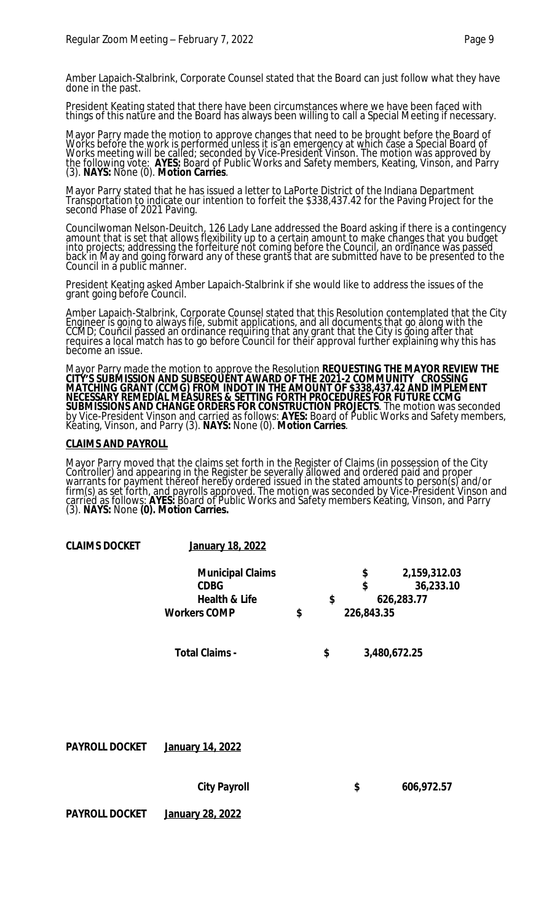Amber Lapaich-Stalbrink, Corporate Counsel stated that the Board can just follow what they have done in the past.

President Keating stated that there have been circumstances where we have been faced with things of this nature and the Board has always been willing to call a Special Meeting if necessary.

Mayor Parry made the motion to approve changes that need to be brought before the Board of Works before the work is performed unless it is an emergency at which case a Special Board of Works meeting will be called; seconded by Vice-President Vinson. The motion was approved by the following vote: **AYES:** Board of Public Works and Safety members, Keating, Vinson, and Parry (3). **NAYS:** None (0). **Motion Carries**.

Mayor Parry stated that he has issued a letter to LaPorte District of the Indiana Department Transportation to indicate our intention to forfeit the \$338,437.42 for the Paving Project for the second Phase of 2021 Paving.

Councilwoman Nelson-Deuitch, 126 Lady Lane addressed the Board asking if there is a contingency amount that is set that allows flexibility up to a certain amount to make changes that you budget into projects; addressing the forfeiture not coming before the Council, an ordinance was passed. back in May and going forward any of these grants that are submitted have to be presented to the Council in a public manner.

President Keating asked Amber Lapaich-Stalbrink if she would like to address the issues of the grant going before Council.

Amber Lapaich-Stalbrink, Corporate Counsel stated that this Resolution contemplated that the City Engineer is going to always file, submit applications, and all documents that go along with the CCMD; Council passed an ordinance requiring that any grant that the City is going after that requires a local match has to go before Council for théir approval further explaining why this has i become an issue.

Mayor Parry made the motion to approve the Resolution **REQUESTING THE MAYOR REVIEW THE CITY'S SUBMISSION AND SUBSEQUENT AWARD OF THE 2021-2 COMMUNITY CROSSING MATCHING GRANT (CCMG) FROM INDOT IN THE AMOUNT OF \$338,437.42 AND IMPLEMENT NECESSARY REMEDIAL MEASURES & SETTING FORTH PROCEDURES FOR FUTURE CCMG SUBMISSIONS AND CHANGE ORDERS FOR CONSTRUCTION PROJECTS**. The motion was seconded by Vice-President Vinson and carried as follows: **AYES:** Board of Public Works and Safety members, Keating, Vinson, and Parry (3). **NAYS:** None (0). **Motion Carries**.

#### **CLAIMS AND PAYROLL**

Mayor Parry moved that the claims set forth in the Register of Claims (in possession of the City Controller) and appearing in the Register be severally allowed and ordered paid and proper warrants for payment thereof hereby ordered issued in the stated amounts to person(s) and/or firm(s) as set forth, and payrolls approved. The motion was seconded by Vice-President Vinson and carried as follows: **AYES:** Board of Public Works and Safety members Keating, Vinson, and Parry (3). **NAYS:** None **(0). Motion Carries.**

| <b>CLAIMS DOCKET</b>  | January 18, 2022                       |                  |    |              |                           |  |
|-----------------------|----------------------------------------|------------------|----|--------------|---------------------------|--|
|                       | <b>Municipal Claims</b><br><b>CDBG</b> |                  |    | \$<br>\$     | 2,159,312.03<br>36,233.10 |  |
|                       | <b>Health &amp; Life</b>               |                  | \$ |              | 626,283.77                |  |
|                       | <b>Workers COMP</b>                    | \$<br>226,843.35 |    |              |                           |  |
|                       | <b>Total Claims -</b>                  |                  | \$ | 3,480,672.25 |                           |  |
|                       |                                        |                  |    |              |                           |  |
| <b>PAYROLL DOCKET</b> | January 14, 2022                       |                  |    |              |                           |  |
|                       | <b>City Payroll</b>                    |                  |    | \$           | 606,972.57                |  |
| <b>PAYROLL DOCKET</b> | January 28, 2022                       |                  |    |              |                           |  |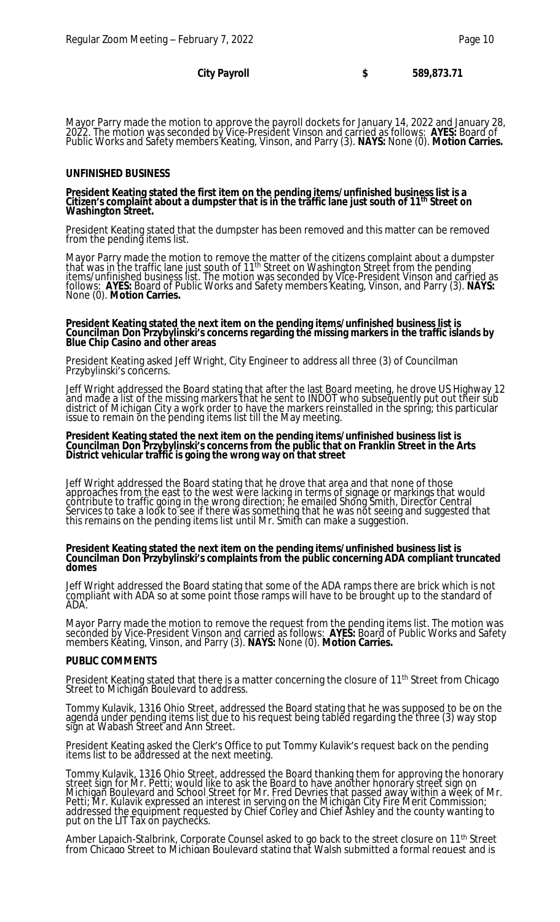| <b>City Payroll</b> |  | 589,873.71 |
|---------------------|--|------------|
|---------------------|--|------------|

Mayor Parry made the motion to approve the payroll dockets for January 14, 2022 and January 28, 2022. The motion was seconded by Vice-President Vinson and carried as follows: **AYES:** Board of Public Works and Safety members Keating, Vinson, and Parry (3). **NAYS:** None (0). **Motion Carries.**

#### **UNFINISHED BUSINESS**

#### **President Keating stated the first item on the pending items/unfinished business list is a Citizen's complaint about a dumpster that is in the traffic lane just south of 11th Street on Washington Street.**

President Keating stated that the dumpster has been removed and this matter can be removed from the pending items list.

Mayor Parry made the motion to remove the matter of the citizens complaint about a dumpster that was in the traffic lane just south of 11<sup>th</sup> Street on Washington Street from the pending items/unfinished business list. The motion was seconded by Vice-President Vinson and carried as follows: **AYES:** Board of Public Works and Safety members Keating, Vinson, and Parry (3). **NAYS:**  None (0). **Motion Carries.**

#### **President Keating stated the next item on the pending items/unfinished business list is Councilman Don Przybylinski's concerns regarding the missing markers in the traffic islands by Blue Chip Casino and other areas**

President Keating asked Jeff Wright, City Engineer to address all three (3) of Councilman Przybylinski's concerns.

Jeff Wright addressed the Board stating that after the last Board meeting, he drove US Highway 12 and made a list of the missing markers that he sent to INDOT who subsequently put out their sub district of Michigan City a work order to have the markers reinstalled in the spring; this particular issue to remain on the pending items list till the May meeting.

#### **President Keating stated the next item on the pending items/unfinished business list is Councilman Don Przybylinski's concerns from the public that on Franklin Street in the Arts District vehicular traffic is going the wrong way on that street**

Jeff Wright addressed the Board stating that he drove that area and that none of those approaches from the east to the west were lacking in terms of signage or markings that would contribute to traffic going in the wrong direction; he emailed Shong Smith, Director Central Services to take a look to see if there was something that he was not seeing and suggested that this remains on the pending items list until Mr. Smith can make a suggestion.

#### **President Keating stated the next item on the pending items/unfinished business list is Councilman Don Przybylinski's complaints from the public concerning ADA compliant truncated domes**

Jeff Wright addressed the Board stating that some of the ADA ramps there are brick which is not compliant with ADA so at some point those ramps will have to be brought up to the standard of **ADA** 

Mayor Parry made the motion to remove the request from the pending items list. The motion was seconded by Vice-President Vinson and carried as follows: **AYES:** Board of Public Works and Safety members Keating, Vinson, and Parry (3). **NAYS:** None (0). **Motion Carries.**

#### **PUBLIC COMMENTS**

President Keating stated that there is a matter concerning the closure of 11<sup>th</sup> Street from Chicago Street to Michigan Boulevard to address.

Tommy Kulavik, 1316 Ohio Street, addressed the Board stating that he was supposed to be on the agenda under pending items list due to his request being tabled regarding the three (3) way stop sign at Wabash Street and Ann Street.

President Keating asked the Clerk's Office to put Tommy Kulavik's request back on the pending items list to be addressed at the next meeting.

Tommy Kulavik, 1316 Ohio Street, addressed the Board thanking them for approving the honorary street sign for Mr. Petti; would like to ask the Board to have another honorary street sign on Michigan Boulevard and School Street for Mr. Fred Devries that passed away within a week of Mr. Petti; Mr. Kulavik expressed an interest in serving on the Michigan City Fire Merit Commission; addressed the equipment requested by Chief Corley and Chief Ashley and the county wanting to put on the LIT Tax on paychecks.

Amber Lapaich-Stalbrink, Corporate Counsel asked to go back to the street closure on 11th Street from Chicago Street to Michigan Boulevard stating that Walsh submitted a formal request and is